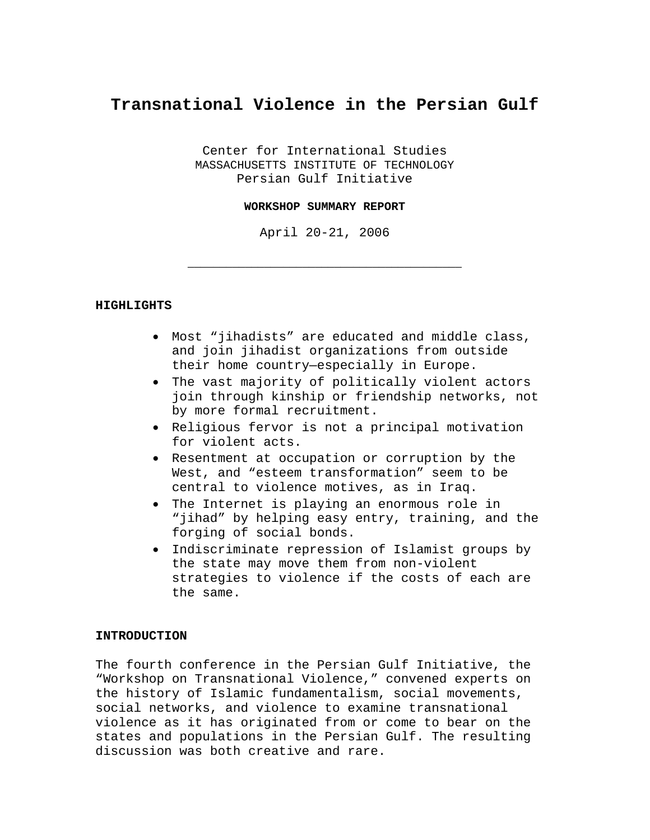# **Transnational Violence in the Persian Gulf**

Center for International Studies MASSACHUSETTS INSTITUTE OF TECHNOLOGY Persian Gulf Initiative

#### **WORKSHOP SUMMARY REPORT**

April 20-21, 2006

\_\_\_\_\_\_\_\_\_\_\_\_\_\_\_\_\_\_\_\_\_\_\_\_\_\_\_\_\_\_\_\_\_\_\_\_\_\_\_\_\_\_\_

#### **HIGHLIGHTS**

- Most "jihadists" are educated and middle class, and join jihadist organizations from outside their home country—especially in Europe.
- The vast majority of politically violent actors join through kinship or friendship networks, not by more formal recruitment.
- Religious fervor is not a principal motivation for violent acts.
- Resentment at occupation or corruption by the West, and "esteem transformation" seem to be central to violence motives, as in Iraq.
- The Internet is playing an enormous role in "jihad" by helping easy entry, training, and the forging of social bonds.
- Indiscriminate repression of Islamist groups by the state may move them from non-violent strategies to violence if the costs of each are the same.

## **INTRODUCTION**

The fourth conference in the Persian Gulf Initiative, the "Workshop on Transnational Violence," convened experts on the history of Islamic fundamentalism, social movements, social networks, and violence to examine transnational violence as it has originated from or come to bear on the states and populations in the Persian Gulf. The resulting discussion was both creative and rare.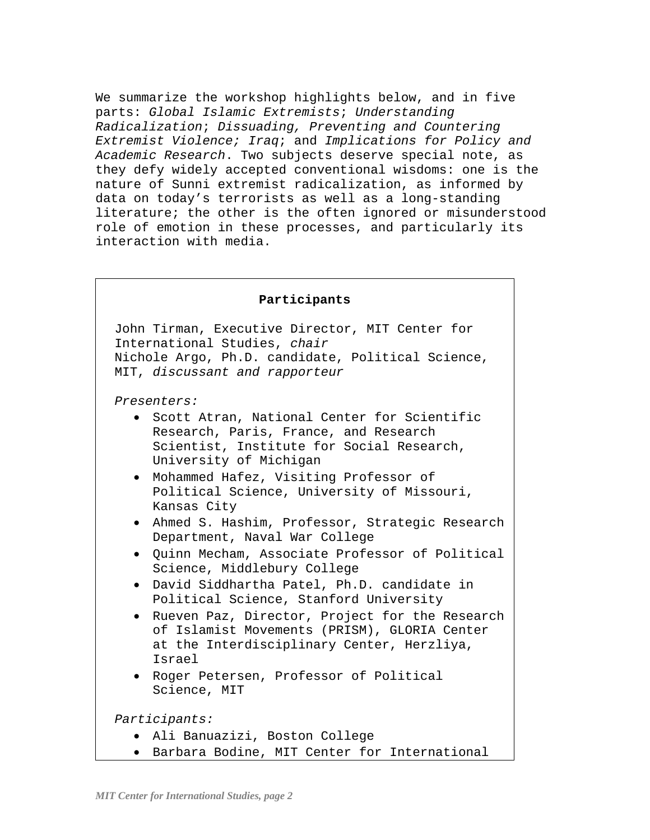We summarize the workshop highlights below, and in five parts: *Global Islamic Extremists*; *Understanding Radicalization*; *Dissuading, Preventing and Countering Extremist Violence; Iraq*; and *Implications for Policy and Academic Research*. Two subjects deserve special note, as they defy widely accepted conventional wisdoms: one is the nature of Sunni extremist radicalization, as informed by data on today's terrorists as well as a long-standing literature; the other is the often ignored or misunderstood role of emotion in these processes, and particularly its interaction with media.

| Participants                                                                                                                                                             |
|--------------------------------------------------------------------------------------------------------------------------------------------------------------------------|
| John Tirman, Executive Director, MIT Center for<br>International Studies, chair<br>Nichole Argo, Ph.D. candidate, Political Science,<br>MIT, discussant and rapporteur   |
| Presenters:                                                                                                                                                              |
| Scott Atran, National Center for Scientific<br>$\bullet$<br>Research, Paris, France, and Research<br>Scientist, Institute for Social Research,<br>University of Michigan |
| Mohammed Hafez, Visiting Professor of<br>$\bullet$<br>Political Science, University of Missouri,<br>Kansas City                                                          |
| Ahmed S. Hashim, Professor, Strategic Research<br>Department, Naval War College                                                                                          |
| . Quinn Mecham, Associate Professor of Political<br>Science, Middlebury College                                                                                          |
| David Siddhartha Patel, Ph.D. candidate in<br>$\bullet$<br>Political Science, Stanford University                                                                        |
| Rueven Paz, Director, Project for the Research<br>of Islamist Movements (PRISM), GLORIA Center<br>at the Interdisciplinary Center, Herzliya,<br>Israel                   |
| . Roger Petersen, Professor of Political<br>Science, MIT                                                                                                                 |
| Participants:                                                                                                                                                            |
| · Ali Banuazizi, Boston College                                                                                                                                          |
| Barbara Bodine, MIT Center for International<br>$\bullet$                                                                                                                |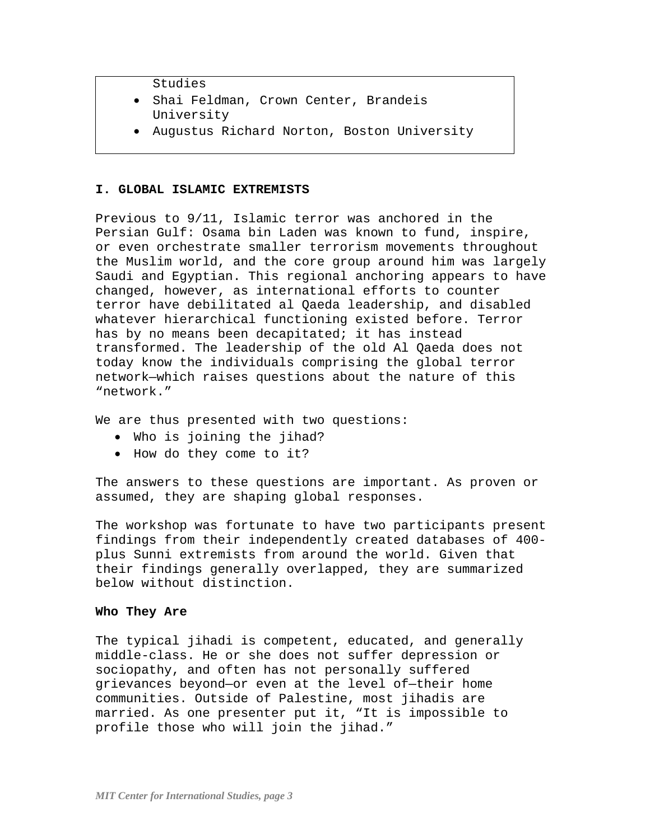Studies

- Shai Feldman, Crown Center, Brandeis University
- Augustus Richard Norton, Boston University

# **I. GLOBAL ISLAMIC EXTREMISTS**

Previous to 9/11, Islamic terror was anchored in the Persian Gulf: Osama bin Laden was known to fund, inspire, or even orchestrate smaller terrorism movements throughout the Muslim world, and the core group around him was largely Saudi and Egyptian. This regional anchoring appears to have changed, however, as international efforts to counter terror have debilitated al Qaeda leadership, and disabled whatever hierarchical functioning existed before. Terror has by no means been decapitated; it has instead transformed. The leadership of the old Al Qaeda does not today know the individuals comprising the global terror network—which raises questions about the nature of this "network."

We are thus presented with two questions:

- Who is joining the jihad?
- How do they come to it?

The answers to these questions are important. As proven or assumed, they are shaping global responses.

The workshop was fortunate to have two participants present findings from their independently created databases of 400 plus Sunni extremists from around the world. Given that their findings generally overlapped, they are summarized below without distinction.

## **Who They Are**

The typical jihadi is competent, educated, and generally middle-class. He or she does not suffer depression or sociopathy, and often has not personally suffered grievances beyond—or even at the level of—their home communities. Outside of Palestine, most jihadis are married. As one presenter put it, "It is impossible to profile those who will join the jihad."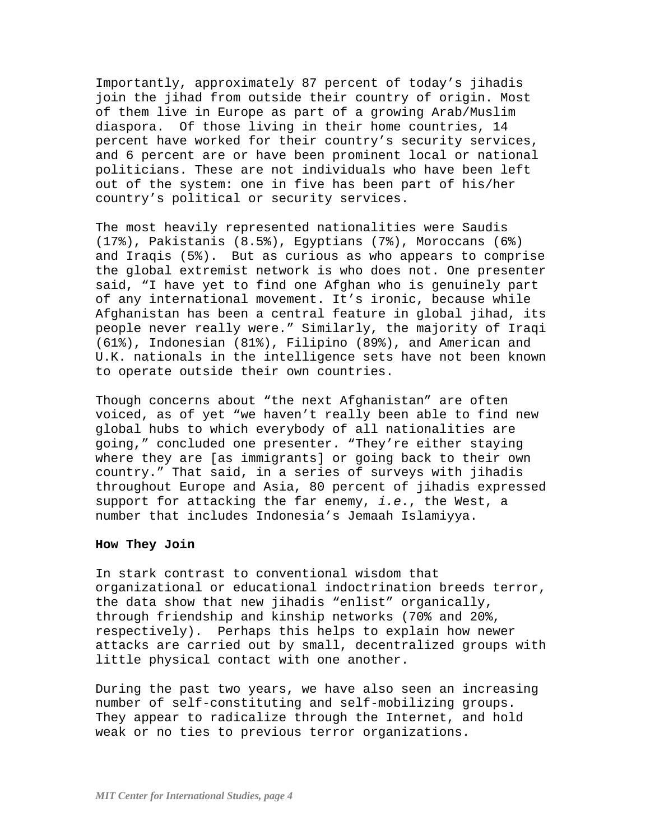Importantly, approximately 87 percent of today's jihadis join the jihad from outside their country of origin. Most of them live in Europe as part of a growing Arab/Muslim diaspora. Of those living in their home countries, 14 percent have worked for their country's security services, and 6 percent are or have been prominent local or national politicians. These are not individuals who have been left out of the system: one in five has been part of his/her country's political or security services.

The most heavily represented nationalities were Saudis (17%), Pakistanis (8.5%), Egyptians (7%), Moroccans (6%) and Iraqis (5%). But as curious as who appears to comprise the global extremist network is who does not. One presenter said, "I have yet to find one Afghan who is genuinely part of any international movement. It's ironic, because while Afghanistan has been a central feature in global jihad, its people never really were." Similarly, the majority of Iraqi (61%), Indonesian (81%), Filipino (89%), and American and U.K. nationals in the intelligence sets have not been known to operate outside their own countries.

Though concerns about "the next Afghanistan" are often voiced, as of yet "we haven't really been able to find new global hubs to which everybody of all nationalities are going," concluded one presenter. "They're either staying where they are [as immigrants] or going back to their own country." That said, in a series of surveys with jihadis throughout Europe and Asia, 80 percent of jihadis expressed support for attacking the far enemy, *i.e*., the West, a number that includes Indonesia's Jemaah Islamiyya.

#### **How They Join**

In stark contrast to conventional wisdom that organizational or educational indoctrination breeds terror, the data show that new jihadis "enlist" organically, through friendship and kinship networks (70% and 20%, respectively). Perhaps this helps to explain how newer attacks are carried out by small, decentralized groups with little physical contact with one another.

During the past two years, we have also seen an increasing number of self-constituting and self-mobilizing groups. They appear to radicalize through the Internet, and hold weak or no ties to previous terror organizations.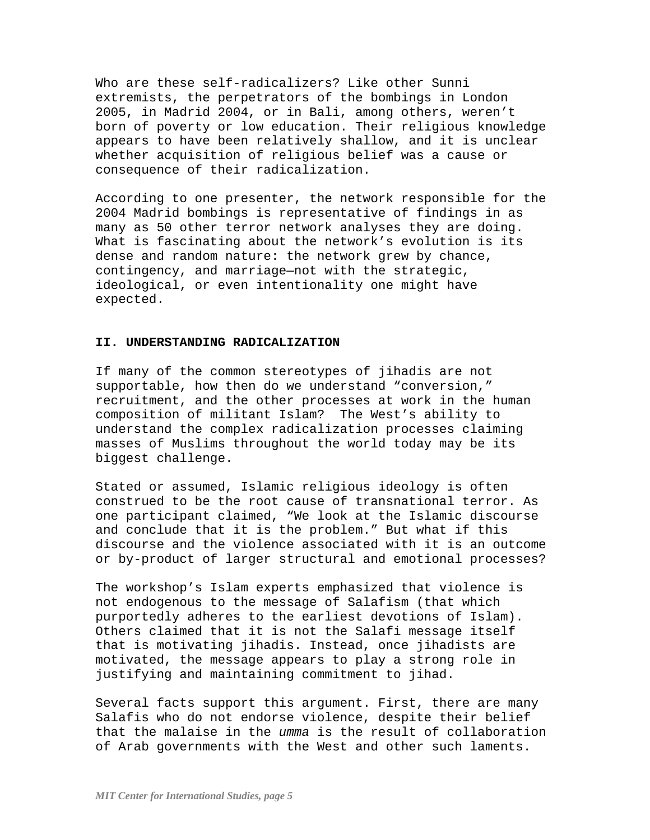Who are these self-radicalizers? Like other Sunni extremists, the perpetrators of the bombings in London 2005, in Madrid 2004, or in Bali, among others, weren't born of poverty or low education. Their religious knowledge appears to have been relatively shallow, and it is unclear whether acquisition of religious belief was a cause or consequence of their radicalization.

According to one presenter, the network responsible for the 2004 Madrid bombings is representative of findings in as many as 50 other terror network analyses they are doing. What is fascinating about the network's evolution is its dense and random nature: the network grew by chance, contingency, and marriage—not with the strategic, ideological, or even intentionality one might have expected.

#### **II. UNDERSTANDING RADICALIZATION**

If many of the common stereotypes of jihadis are not supportable, how then do we understand "conversion," recruitment, and the other processes at work in the human composition of militant Islam? The West's ability to understand the complex radicalization processes claiming masses of Muslims throughout the world today may be its biggest challenge.

Stated or assumed, Islamic religious ideology is often construed to be the root cause of transnational terror. As one participant claimed, "We look at the Islamic discourse and conclude that it is the problem." But what if this discourse and the violence associated with it is an outcome or by-product of larger structural and emotional processes?

The workshop's Islam experts emphasized that violence is not endogenous to the message of Salafism (that which purportedly adheres to the earliest devotions of Islam). Others claimed that it is not the Salafi message itself that is motivating jihadis. Instead, once jihadists are motivated, the message appears to play a strong role in justifying and maintaining commitment to jihad.

Several facts support this argument. First, there are many Salafis who do not endorse violence, despite their belief that the malaise in the *umma* is the result of collaboration of Arab governments with the West and other such laments.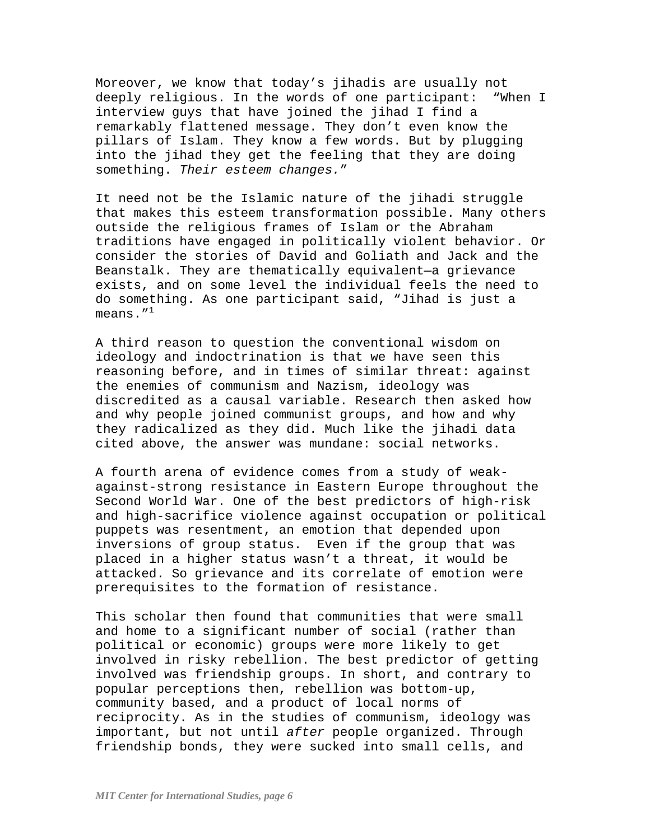Moreover, we know that today's jihadis are usually not deeply religious. In the words of one participant: "When I interview guys that have joined the jihad I find a remarkably flattened message. They don't even know the pillars of Islam. They know a few words. But by plugging into the jihad they get the feeling that they are doing something. *Their esteem changes.*"

It need not be the Islamic nature of the jihadi struggle that makes this esteem transformation possible. Many others outside the religious frames of Islam or the Abraham traditions have engaged in politically violent behavior. Or consider the stories of David and Goliath and Jack and the Beanstalk. They are thematically equivalent—a grievance exists, and on some level the individual feels the need to do something. As one participant said, "Jihad is just a means. $^{\prime\prime}{}^{1}$ 

A third reason to question the conventional wisdom on ideology and indoctrination is that we have seen this reasoning before, and in times of similar threat: against the enemies of communism and Nazism, ideology was discredited as a causal variable. Research then asked how and why people joined communist groups, and how and why they radicalized as they did. Much like the jihadi data cited above, the answer was mundane: social networks.

A fourth arena of evidence comes from a study of weakagainst-strong resistance in Eastern Europe throughout the Second World War. One of the best predictors of high-risk and high-sacrifice violence against occupation or political puppets was resentment, an emotion that depended upon inversions of group status. Even if the group that was placed in a higher status wasn't a threat, it would be attacked. So grievance and its correlate of emotion were prerequisites to the formation of resistance.

This scholar then found that communities that were small and home to a significant number of social (rather than political or economic) groups were more likely to get involved in risky rebellion. The best predictor of getting involved was friendship groups. In short, and contrary to popular perceptions then, rebellion was bottom-up, community based, and a product of local norms of reciprocity. As in the studies of communism, ideology was important, but not until *after* people organized. Through friendship bonds, they were sucked into small cells, and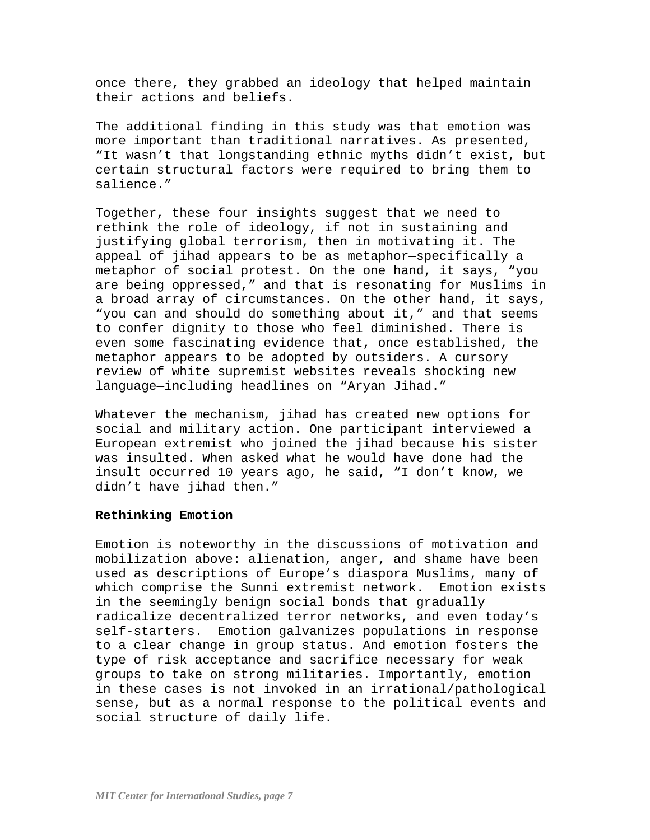once there, they grabbed an ideology that helped maintain their actions and beliefs.

The additional finding in this study was that emotion was more important than traditional narratives. As presented, "It wasn't that longstanding ethnic myths didn't exist, but certain structural factors were required to bring them to salience."

Together, these four insights suggest that we need to rethink the role of ideology, if not in sustaining and justifying global terrorism, then in motivating it. The appeal of jihad appears to be as metaphor—specifically a metaphor of social protest. On the one hand, it says, "you are being oppressed," and that is resonating for Muslims in a broad array of circumstances. On the other hand, it says, "you can and should do something about it," and that seems to confer dignity to those who feel diminished. There is even some fascinating evidence that, once established, the metaphor appears to be adopted by outsiders. A cursory review of white supremist websites reveals shocking new language—including headlines on "Aryan Jihad."

Whatever the mechanism, jihad has created new options for social and military action. One participant interviewed a European extremist who joined the jihad because his sister was insulted. When asked what he would have done had the insult occurred 10 years ago, he said, "I don't know, we didn't have jihad then."

#### **Rethinking Emotion**

Emotion is noteworthy in the discussions of motivation and mobilization above: alienation, anger, and shame have been used as descriptions of Europe's diaspora Muslims, many of which comprise the Sunni extremist network. Emotion exists in the seemingly benign social bonds that gradually radicalize decentralized terror networks, and even today's self-starters. Emotion galvanizes populations in response to a clear change in group status. And emotion fosters the type of risk acceptance and sacrifice necessary for weak groups to take on strong militaries. Importantly, emotion in these cases is not invoked in an irrational/pathological sense, but as a normal response to the political events and social structure of daily life.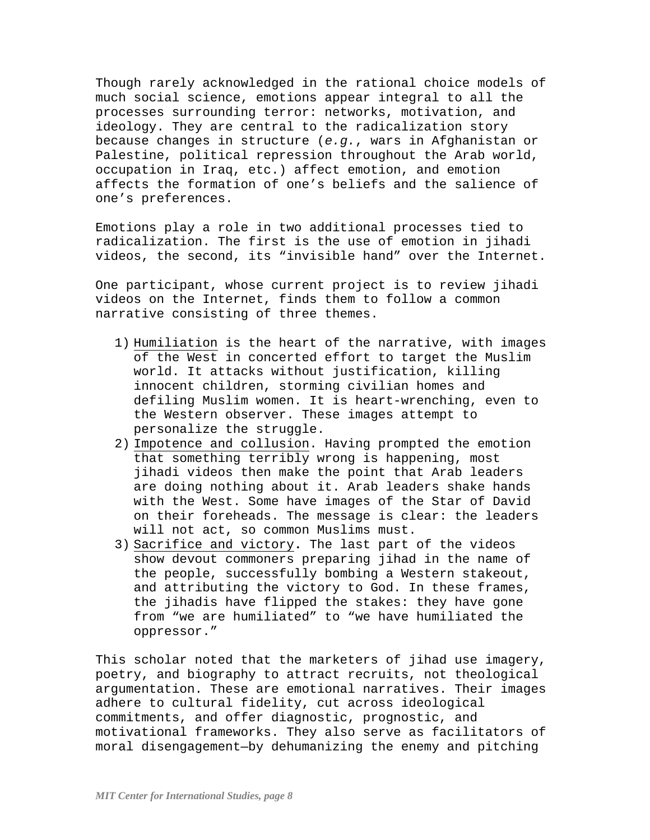Though rarely acknowledged in the rational choice models of much social science, emotions appear integral to all the processes surrounding terror: networks, motivation, and ideology. They are central to the radicalization story because changes in structure (*e.g.*, wars in Afghanistan or Palestine, political repression throughout the Arab world, occupation in Iraq, etc.) affect emotion, and emotion affects the formation of one's beliefs and the salience of one's preferences.

Emotions play a role in two additional processes tied to radicalization. The first is the use of emotion in jihadi videos, the second, its "invisible hand" over the Internet.

One participant, whose current project is to review jihadi videos on the Internet, finds them to follow a common narrative consisting of three themes.

- 1) Humiliation is the heart of the narrative, with images of the West in concerted effort to target the Muslim world. It attacks without justification, killing innocent children, storming civilian homes and defiling Muslim women. It is heart-wrenching, even to the Western observer. These images attempt to personalize the struggle.
- 2) Impotence and collusion. Having prompted the emotion that something terribly wrong is happening, most jihadi videos then make the point that Arab leaders are doing nothing about it. Arab leaders shake hands with the West. Some have images of the Star of David on their foreheads. The message is clear: the leaders will not act, so common Muslims must.
- 3) Sacrifice and victory**.** The last part of the videos show devout commoners preparing jihad in the name of the people, successfully bombing a Western stakeout, and attributing the victory to God. In these frames, the jihadis have flipped the stakes: they have gone from "we are humiliated" to "we have humiliated the oppressor."

This scholar noted that the marketers of jihad use imagery, poetry, and biography to attract recruits, not theological argumentation. These are emotional narratives. Their images adhere to cultural fidelity, cut across ideological commitments, and offer diagnostic, prognostic, and motivational frameworks. They also serve as facilitators of moral disengagement—by dehumanizing the enemy and pitching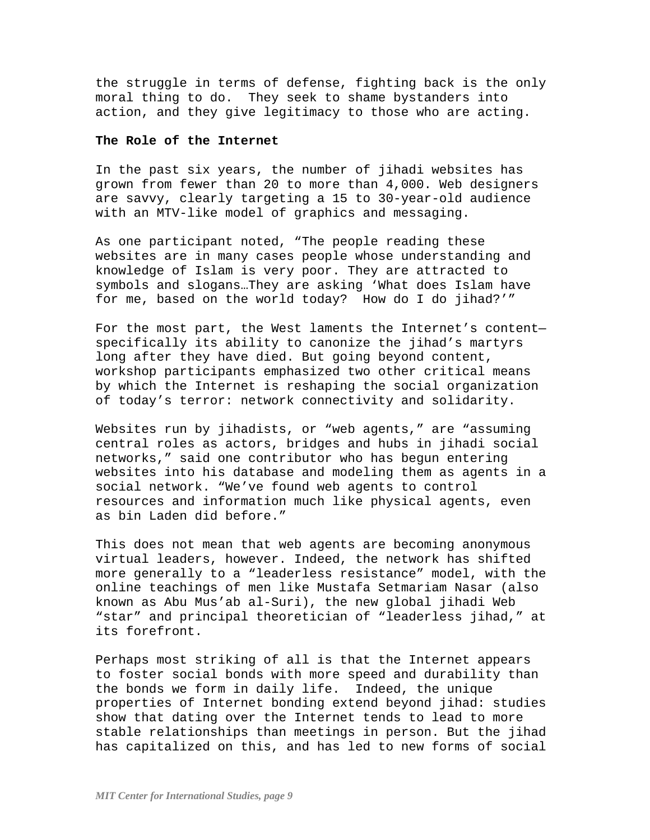the struggle in terms of defense, fighting back is the only moral thing to do. They seek to shame bystanders into action, and they give legitimacy to those who are acting.

## **The Role of the Internet**

In the past six years, the number of jihadi websites has grown from fewer than 20 to more than 4,000. Web designers are savvy, clearly targeting a 15 to 30-year-old audience with an MTV-like model of graphics and messaging.

As one participant noted, "The people reading these websites are in many cases people whose understanding and knowledge of Islam is very poor. They are attracted to symbols and slogans…They are asking 'What does Islam have for me, based on the world today? How do I do jihad?'"

For the most part, the West laments the Internet's content specifically its ability to canonize the jihad's martyrs long after they have died. But going beyond content, workshop participants emphasized two other critical means by which the Internet is reshaping the social organization of today's terror: network connectivity and solidarity.

Websites run by jihadists, or "web agents," are "assuming central roles as actors, bridges and hubs in jihadi social networks," said one contributor who has begun entering websites into his database and modeling them as agents in a social network. "We've found web agents to control resources and information much like physical agents, even as bin Laden did before."

This does not mean that web agents are becoming anonymous virtual leaders, however. Indeed, the network has shifted more generally to a "leaderless resistance" model, with the online teachings of men like Mustafa Setmariam Nasar (also known as Abu Mus'ab al-Suri), the new global jihadi Web "star" and principal theoretician of "leaderless jihad," at its forefront.

Perhaps most striking of all is that the Internet appears to foster social bonds with more speed and durability than the bonds we form in daily life. Indeed, the unique properties of Internet bonding extend beyond jihad: studies show that dating over the Internet tends to lead to more stable relationships than meetings in person. But the jihad has capitalized on this, and has led to new forms of social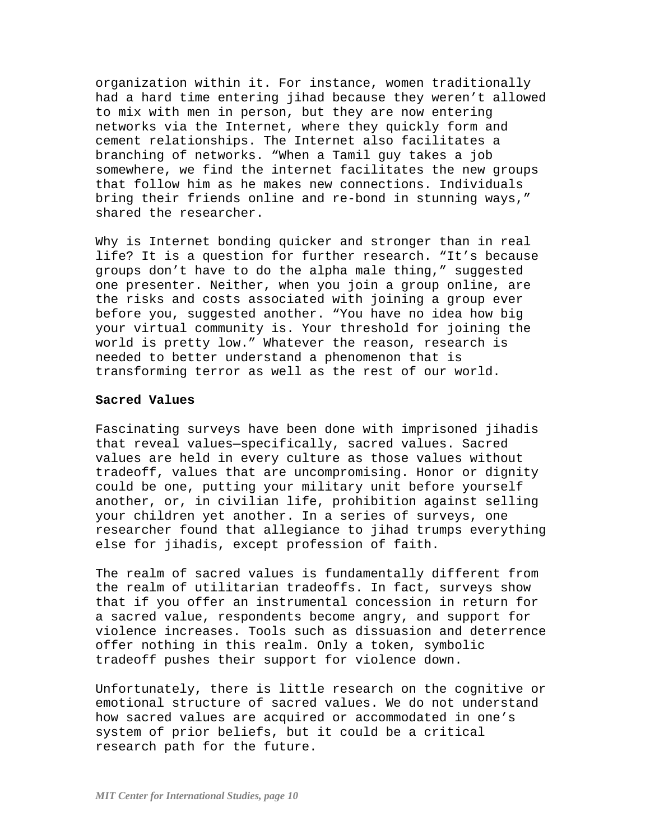organization within it. For instance, women traditionally had a hard time entering jihad because they weren't allowed to mix with men in person, but they are now entering networks via the Internet, where they quickly form and cement relationships. The Internet also facilitates a branching of networks. "When a Tamil guy takes a job somewhere, we find the internet facilitates the new groups that follow him as he makes new connections. Individuals bring their friends online and re-bond in stunning ways," shared the researcher.

Why is Internet bonding quicker and stronger than in real life? It is a question for further research. "It's because groups don't have to do the alpha male thing," suggested one presenter. Neither, when you join a group online, are the risks and costs associated with joining a group ever before you, suggested another. "You have no idea how big your virtual community is. Your threshold for joining the world is pretty low." Whatever the reason, research is needed to better understand a phenomenon that is transforming terror as well as the rest of our world.

#### **Sacred Values**

Fascinating surveys have been done with imprisoned jihadis that reveal values—specifically, sacred values. Sacred values are held in every culture as those values without tradeoff, values that are uncompromising. Honor or dignity could be one, putting your military unit before yourself another, or, in civilian life, prohibition against selling your children yet another. In a series of surveys, one researcher found that allegiance to jihad trumps everything else for jihadis, except profession of faith.

The realm of sacred values is fundamentally different from the realm of utilitarian tradeoffs. In fact, surveys show that if you offer an instrumental concession in return for a sacred value, respondents become angry, and support for violence increases. Tools such as dissuasion and deterrence offer nothing in this realm. Only a token, symbolic tradeoff pushes their support for violence down.

Unfortunately, there is little research on the cognitive or emotional structure of sacred values. We do not understand how sacred values are acquired or accommodated in one's system of prior beliefs, but it could be a critical research path for the future.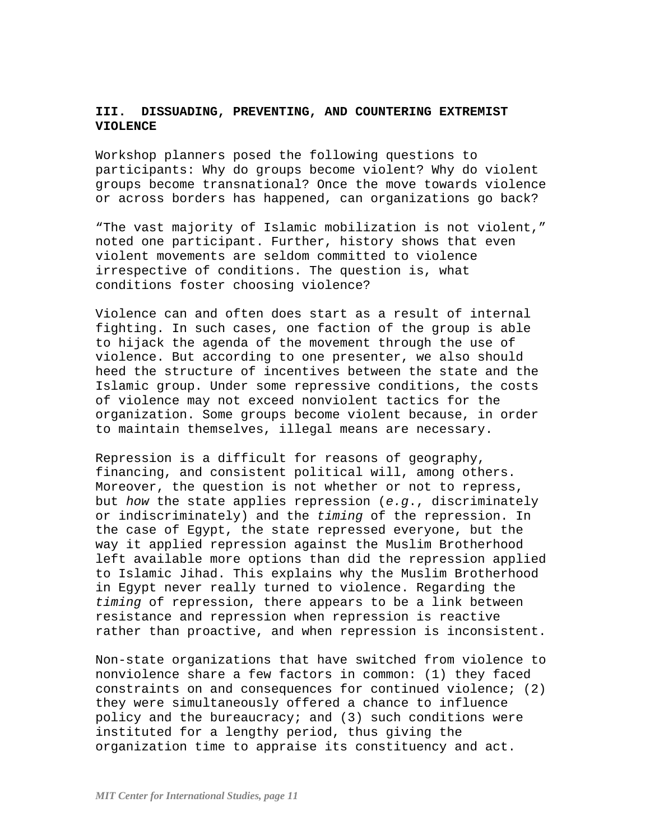# **III. DISSUADING, PREVENTING, AND COUNTERING EXTREMIST VIOLENCE**

Workshop planners posed the following questions to participants: Why do groups become violent? Why do violent groups become transnational? Once the move towards violence or across borders has happened, can organizations go back?

"The vast majority of Islamic mobilization is not violent," noted one participant. Further, history shows that even violent movements are seldom committed to violence irrespective of conditions. The question is, what conditions foster choosing violence?

Violence can and often does start as a result of internal fighting. In such cases, one faction of the group is able to hijack the agenda of the movement through the use of violence. But according to one presenter, we also should heed the structure of incentives between the state and the Islamic group. Under some repressive conditions, the costs of violence may not exceed nonviolent tactics for the organization. Some groups become violent because, in order to maintain themselves, illegal means are necessary.

Repression is a difficult for reasons of geography, financing, and consistent political will, among others. Moreover, the question is not whether or not to repress, but *how* the state applies repression (*e.g*., discriminately or indiscriminately) and the *timing* of the repression. In the case of Egypt, the state repressed everyone, but the way it applied repression against the Muslim Brotherhood left available more options than did the repression applied to Islamic Jihad. This explains why the Muslim Brotherhood in Egypt never really turned to violence. Regarding the *timing* of repression, there appears to be a link between resistance and repression when repression is reactive rather than proactive, and when repression is inconsistent.

Non-state organizations that have switched from violence to nonviolence share a few factors in common: (1) they faced constraints on and consequences for continued violence; (2) they were simultaneously offered a chance to influence policy and the bureaucracy; and (3) such conditions were instituted for a lengthy period, thus giving the organization time to appraise its constituency and act.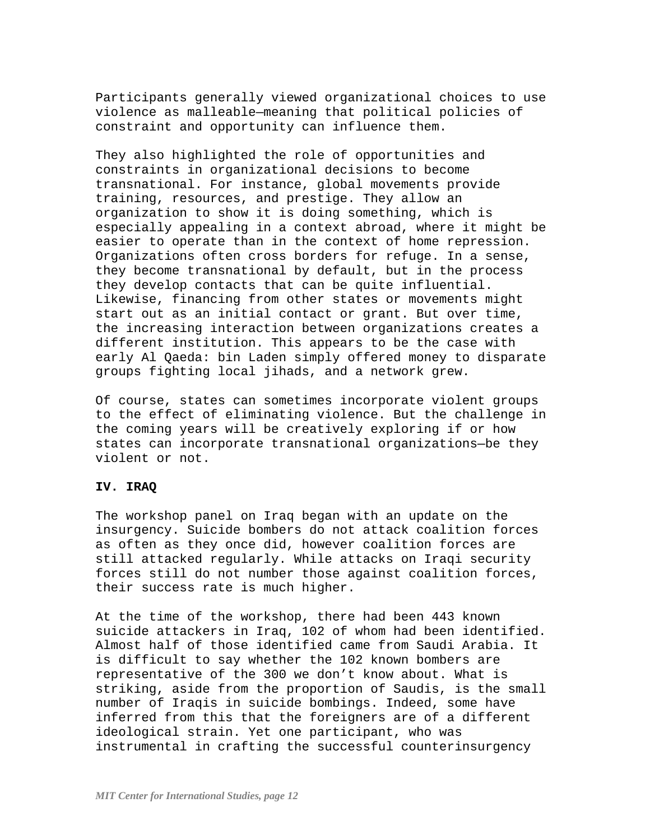Participants generally viewed organizational choices to use violence as malleable—meaning that political policies of constraint and opportunity can influence them.

They also highlighted the role of opportunities and constraints in organizational decisions to become transnational. For instance, global movements provide training, resources, and prestige. They allow an organization to show it is doing something, which is especially appealing in a context abroad, where it might be easier to operate than in the context of home repression. Organizations often cross borders for refuge. In a sense, they become transnational by default, but in the process they develop contacts that can be quite influential. Likewise, financing from other states or movements might start out as an initial contact or grant. But over time, the increasing interaction between organizations creates a different institution. This appears to be the case with early Al Qaeda: bin Laden simply offered money to disparate groups fighting local jihads, and a network grew.

Of course, states can sometimes incorporate violent groups to the effect of eliminating violence. But the challenge in the coming years will be creatively exploring if or how states can incorporate transnational organizations—be they violent or not.

## **IV. IRAQ**

The workshop panel on Iraq began with an update on the insurgency. Suicide bombers do not attack coalition forces as often as they once did, however coalition forces are still attacked regularly. While attacks on Iraqi security forces still do not number those against coalition forces, their success rate is much higher.

At the time of the workshop, there had been 443 known suicide attackers in Iraq, 102 of whom had been identified. Almost half of those identified came from Saudi Arabia. It is difficult to say whether the 102 known bombers are representative of the 300 we don't know about. What is striking, aside from the proportion of Saudis, is the small number of Iraqis in suicide bombings. Indeed, some have inferred from this that the foreigners are of a different ideological strain. Yet one participant, who was instrumental in crafting the successful counterinsurgency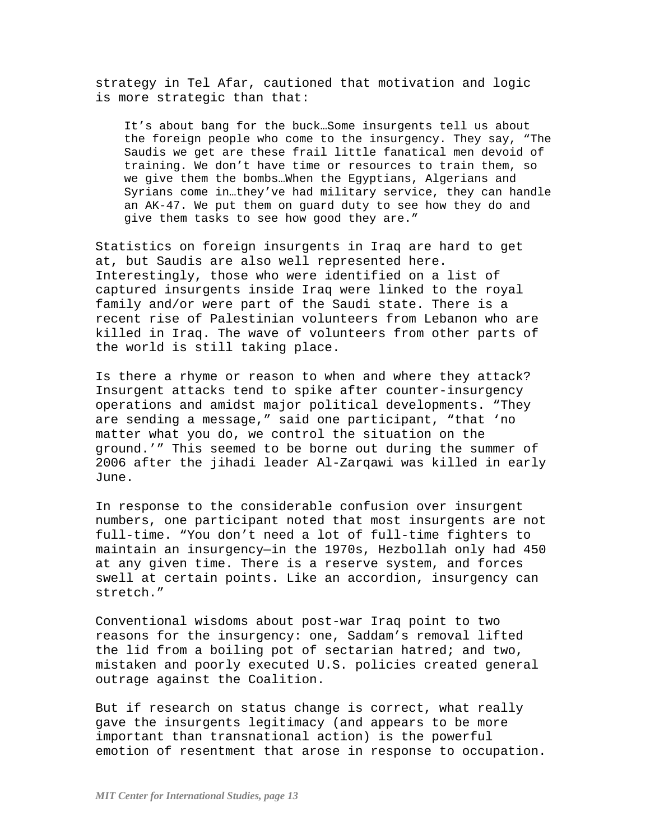strategy in Tel Afar, cautioned that motivation and logic is more strategic than that:

It's about bang for the buck…Some insurgents tell us about the foreign people who come to the insurgency. They say, "The Saudis we get are these frail little fanatical men devoid of training. We don't have time or resources to train them, so we give them the bombs…When the Egyptians, Algerians and Syrians come in…they've had military service, they can handle an AK-47. We put them on guard duty to see how they do and give them tasks to see how good they are."

Statistics on foreign insurgents in Iraq are hard to get at, but Saudis are also well represented here. Interestingly, those who were identified on a list of captured insurgents inside Iraq were linked to the royal family and/or were part of the Saudi state. There is a recent rise of Palestinian volunteers from Lebanon who are killed in Iraq. The wave of volunteers from other parts of the world is still taking place.

Is there a rhyme or reason to when and where they attack? Insurgent attacks tend to spike after counter-insurgency operations and amidst major political developments. "They are sending a message," said one participant, "that 'no matter what you do, we control the situation on the ground.'" This seemed to be borne out during the summer of 2006 after the jihadi leader Al-Zarqawi was killed in early June.

In response to the considerable confusion over insurgent numbers, one participant noted that most insurgents are not full-time. "You don't need a lot of full-time fighters to maintain an insurgency—in the 1970s, Hezbollah only had 450 at any given time. There is a reserve system, and forces swell at certain points. Like an accordion, insurgency can stretch."

Conventional wisdoms about post-war Iraq point to two reasons for the insurgency: one, Saddam's removal lifted the lid from a boiling pot of sectarian hatred; and two, mistaken and poorly executed U.S. policies created general outrage against the Coalition.

But if research on status change is correct, what really gave the insurgents legitimacy (and appears to be more important than transnational action) is the powerful emotion of resentment that arose in response to occupation.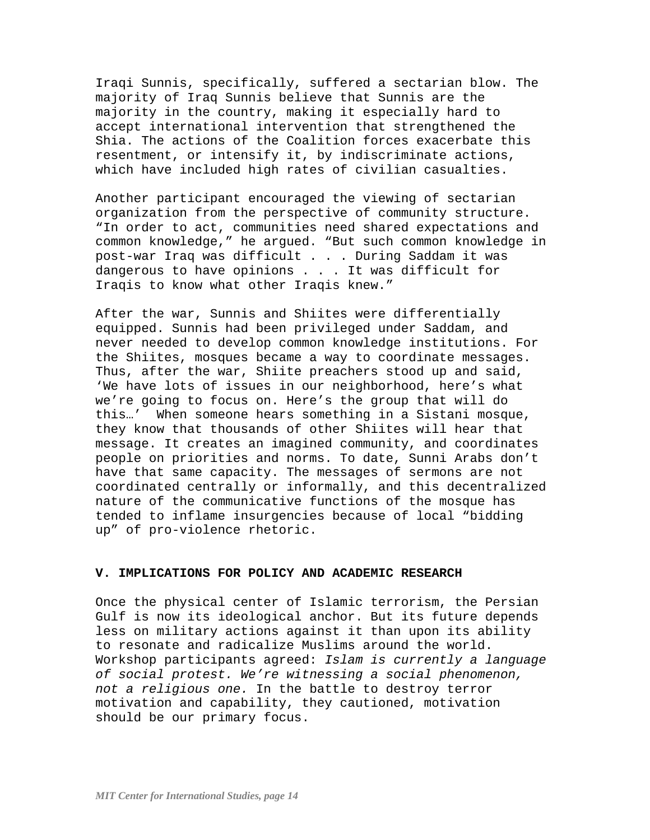Iraqi Sunnis, specifically, suffered a sectarian blow. The majority of Iraq Sunnis believe that Sunnis are the majority in the country, making it especially hard to accept international intervention that strengthened the Shia. The actions of the Coalition forces exacerbate this resentment, or intensify it, by indiscriminate actions, which have included high rates of civilian casualties.

Another participant encouraged the viewing of sectarian organization from the perspective of community structure. "In order to act, communities need shared expectations and common knowledge," he argued. "But such common knowledge in post-war Iraq was difficult . . . During Saddam it was dangerous to have opinions . . . It was difficult for Iraqis to know what other Iraqis knew."

After the war, Sunnis and Shiites were differentially equipped. Sunnis had been privileged under Saddam, and never needed to develop common knowledge institutions. For the Shiites, mosques became a way to coordinate messages. Thus, after the war, Shiite preachers stood up and said, 'We have lots of issues in our neighborhood, here's what we're going to focus on. Here's the group that will do this…' When someone hears something in a Sistani mosque, they know that thousands of other Shiites will hear that message. It creates an imagined community, and coordinates people on priorities and norms. To date, Sunni Arabs don't have that same capacity. The messages of sermons are not coordinated centrally or informally, and this decentralized nature of the communicative functions of the mosque has tended to inflame insurgencies because of local "bidding up" of pro-violence rhetoric.

#### **V. IMPLICATIONS FOR POLICY AND ACADEMIC RESEARCH**

Once the physical center of Islamic terrorism, the Persian Gulf is now its ideological anchor. But its future depends less on military actions against it than upon its ability to resonate and radicalize Muslims around the world. Workshop participants agreed: *Islam is currently a language of social protest. We're witnessing a social phenomenon, not a religious one.* In the battle to destroy terror motivation and capability, they cautioned, motivation should be our primary focus.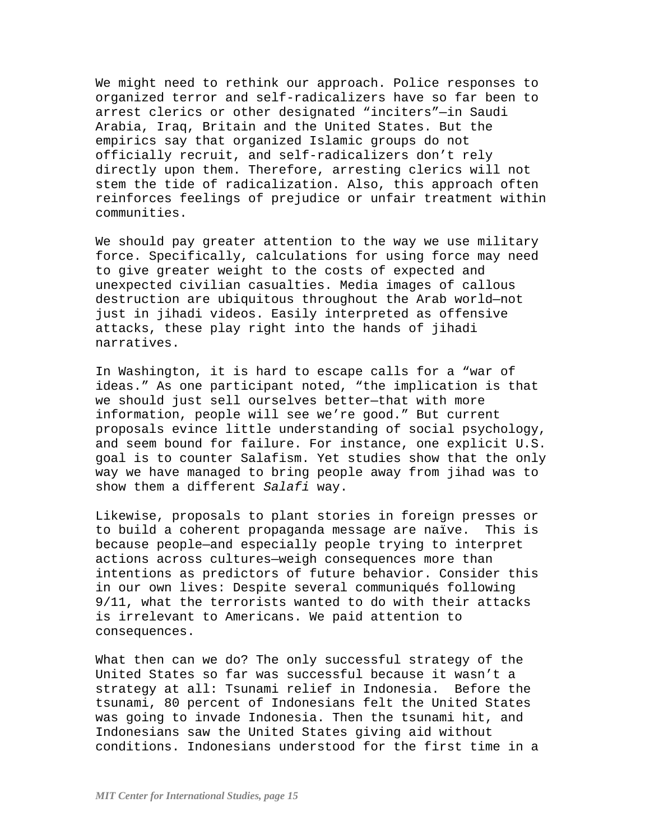We might need to rethink our approach. Police responses to organized terror and self-radicalizers have so far been to arrest clerics or other designated "inciters"—in Saudi Arabia, Iraq, Britain and the United States. But the empirics say that organized Islamic groups do not officially recruit, and self-radicalizers don't rely directly upon them. Therefore, arresting clerics will not stem the tide of radicalization. Also, this approach often reinforces feelings of prejudice or unfair treatment within communities.

We should pay greater attention to the way we use military force. Specifically, calculations for using force may need to give greater weight to the costs of expected and unexpected civilian casualties. Media images of callous destruction are ubiquitous throughout the Arab world—not just in jihadi videos. Easily interpreted as offensive attacks, these play right into the hands of jihadi narratives.

In Washington, it is hard to escape calls for a "war of ideas." As one participant noted, "the implication is that we should just sell ourselves better—that with more information, people will see we're good." But current proposals evince little understanding of social psychology, and seem bound for failure. For instance, one explicit U.S. goal is to counter Salafism. Yet studies show that the only way we have managed to bring people away from jihad was to show them a different *Salafi* way.

Likewise, proposals to plant stories in foreign presses or to build a coherent propaganda message are naïve. This is because people—and especially people trying to interpret actions across cultures—weigh consequences more than intentions as predictors of future behavior. Consider this in our own lives: Despite several communiqués following 9/11, what the terrorists wanted to do with their attacks is irrelevant to Americans. We paid attention to consequences.

What then can we do? The only successful strategy of the United States so far was successful because it wasn't a strategy at all: Tsunami relief in Indonesia. Before the tsunami, 80 percent of Indonesians felt the United States was going to invade Indonesia. Then the tsunami hit, and Indonesians saw the United States giving aid without conditions. Indonesians understood for the first time in a